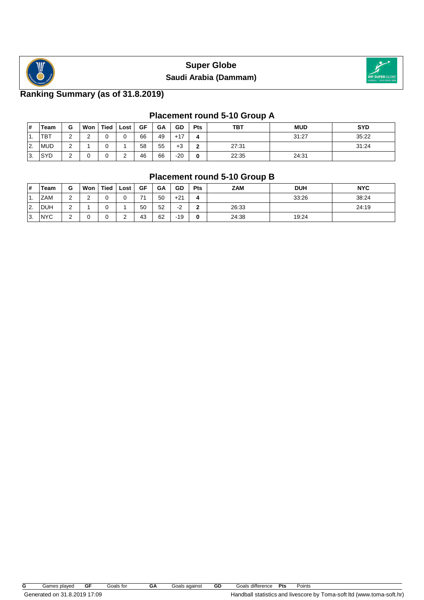



# **Ranking Summary (as of 31.8.2019)**

# **Placement round 5-10 Group A**

| #                | Геаm       | G           | Won             | <b>Tied</b> | Lost | GF | GA | GD    | <b>Pts</b> | <b>TBT</b> | <b>MUD</b> | <b>SYD</b> |
|------------------|------------|-------------|-----------------|-------------|------|----|----|-------|------------|------------|------------|------------|
| $\overline{1}$ . | <b>TBT</b> | $\sim$<br>∼ | $\sqrt{2}$<br>_ | 0           |      | 66 | 49 | $+17$ | 4          |            | 31:27      | 35:22      |
| <u> 2.</u>       | <b>MUD</b> | $\sim$      |                 | 0           |      | 58 | 55 | $+3$  |            | 27:31      |            | 31:24      |
| IЗ.              | <b>SYD</b> | $\sim$<br>- |                 | 0           |      | 46 | 66 | $-20$ |            | 22:35      | 24:31      |            |

#### **Placement round 5-10 Group B**

| #  | Team       | G           | Won    | <b>Tied</b> | Lost   | <b>GF</b> | GA | GD                 | Pts | <b>ZAM</b> | <b>DUH</b> | <b>NYC</b> |
|----|------------|-------------|--------|-------------|--------|-----------|----|--------------------|-----|------------|------------|------------|
| 1. | <b>ZAM</b> | $\sim$<br>- | ◠<br>- | υ           |        | 74        | 50 | $+21$              |     |            | 33:26      | 38:24      |
| 2. | <b>DUH</b> | $\sim$      |        |             |        | 50        | 52 | $\sim$<br>- -<br>- | ◠   | 26:33      |            | 24:19      |
| 3. | <b>NYC</b> | $\sim$      |        | υ           | ⌒<br>- | 43        | 62 | $-19$              | 0   | 24:38      | 19:24      |            |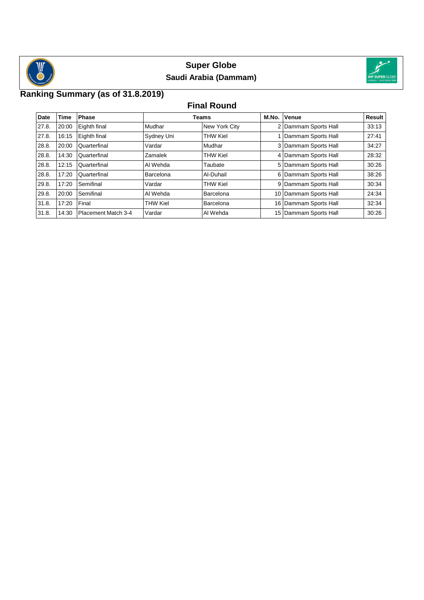



# **Ranking Summary (as of 31.8.2019)**

#### **Final Round**

| Date  | <b>Time</b> | <b>Phase</b>        |                 | Teams           | M.No. | Venue                 | Result |  |
|-------|-------------|---------------------|-----------------|-----------------|-------|-----------------------|--------|--|
| 27.8. | 20:00       | Eighth final        | Mudhar          | New York City   |       | 2 Dammam Sports Hall  | 33:13  |  |
| 27.8. | 16:15       | Eighth final        | Sydney Uni      | <b>THW Kiel</b> |       | 1 Dammam Sports Hall  | 27:41  |  |
| 28.8. | 20:00       | Quarterfinal        | Vardar          | Mudhar          |       | 3 Dammam Sports Hall  | 34:27  |  |
| 28.8. | 14:30       | Quarterfinal        | Zamalek         | <b>THW Kiel</b> |       | 4 Dammam Sports Hall  | 28:32  |  |
| 28.8. | 12:15       | Quarterfinal        | Al Wehda        | Taubate         |       | 5 Dammam Sports Hall  | 30:26  |  |
| 28.8. | 17:20       | Quarterfinal        | Barcelona       | Al-Duhail       |       | 6 Dammam Sports Hall  | 38:26  |  |
| 29.8. | 17:20       | Semifinal           | Vardar          | <b>THW Kiel</b> |       | 9 Dammam Sports Hall  | 30:34  |  |
| 29.8. | 20:00       | Semifinal           | Al Wehda        | Barcelona       |       | 10 Dammam Sports Hall | 24:34  |  |
| 31.8. | 17:20       | Final               | <b>THW Kiel</b> | Barcelona       |       | 16 Dammam Sports Hall | 32:34  |  |
| 31.8. | 14:30       | Placement Match 3-4 | Vardar          | Al Wehda        |       | 15 Dammam Sports Hall | 30:26  |  |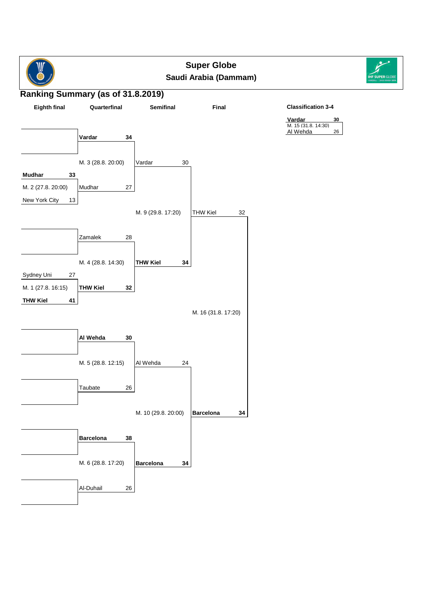



#### **Ranking Summary (as of 31.8.2019)**



#### **Classification 3-4**

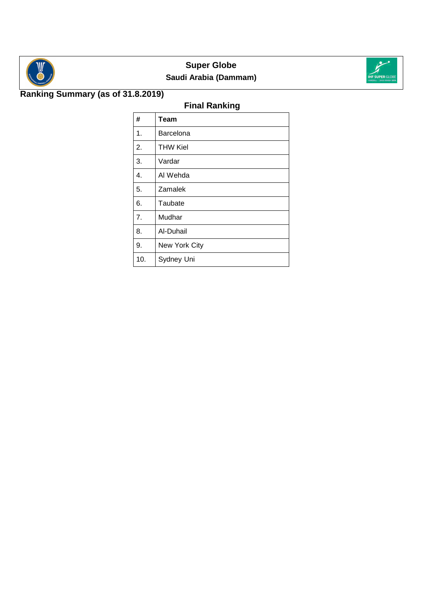



# **Ranking Summary (as of 31.8.2019)**

# **Final Ranking**

| #   | Team            |
|-----|-----------------|
| 1.  | Barcelona       |
| 2.  | <b>THW Kiel</b> |
| 3.  | Vardar          |
| 4.  | Al Wehda        |
| 5.  | Zamalek         |
| 6.  | Taubate         |
| 7.  | Mudhar          |
| 8.  | Al-Duhail       |
| 9.  | New York City   |
| 10. | Sydney Uni      |